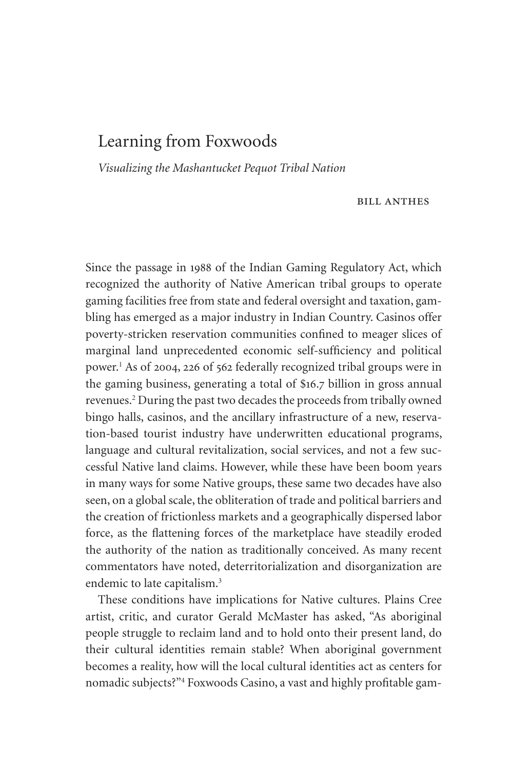# Learning from Foxwoods

*Visualizing the Mashantucket Pequot Tribal Nation*

bill anthes

Since the passage in 1988 of the Indian Gaming Regulatory Act, which recognized the authority of Native American tribal groups to operate gaming facilities free from state and federal oversight and taxation, gambling has emerged as a major industry in Indian Country. Casinos offer poverty-stricken reservation communities confined to meager slices of marginal land unprecedented economic self-sufficiency and political power. <sup>1</sup> As of 2004, 226 of 562 federally recognized tribal groups were in the gaming business, generating a total of \$16.7 billion in gross annual revenues.2 During the past two decades the proceeds from tribally owned bingo halls, casinos, and the ancillary infrastructure of a new, reservation-based tourist industry have underwritten educational programs, language and cultural revitalization, social services, and not a few successful Native land claims. However, while these have been boom years in many ways for some Native groups, these same two decades have also seen, on a global scale, the obliteration of trade and political barriers and the creation of frictionless markets and a geographically dispersed labor force, as the flattening forces of the marketplace have steadily eroded the authority of the nation as traditionally conceived. As many recent commentators have noted, deterritorialization and disorganization are endemic to late capitalism.<sup>3</sup>

These conditions have implications for Native cultures. Plains Cree artist, critic, and curator Gerald McMaster has asked, "As aboriginal people struggle to reclaim land and to hold onto their present land, do their cultural identities remain stable? When aboriginal government becomes a reality, how will the local cultural identities act as centers for nomadic subjects?"4 Foxwoods Casino, a vast and highly profitable gam-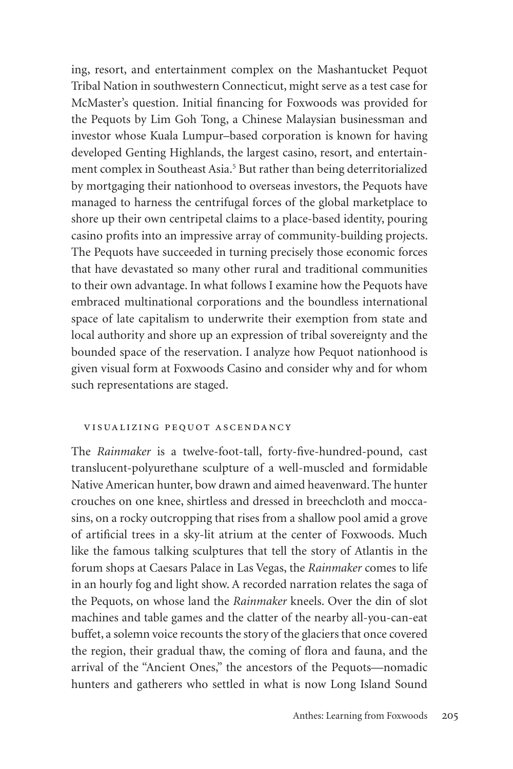ing, resort, and entertainment complex on the Mashantucket Pequot Tribal Nation in southwestern Connecticut, might serve as a test case for McMaster's question. Initial financing for Foxwoods was provided for the Pequots by Lim Goh Tong, a Chinese Malaysian businessman and investor whose Kuala Lumpur–based corporation is known for having developed Genting Highlands, the largest casino, resort, and entertainment complex in Southeast Asia.<sup>5</sup> But rather than being deterritorialized by mortgaging their nationhood to overseas investors, the Pequots have managed to harness the centrifugal forces of the global marketplace to shore up their own centripetal claims to a place-based identity, pouring casino profits into an impressive array of community-building projects. The Pequots have succeeded in turning precisely those economic forces that have devastated so many other rural and traditional communities to their own advantage. In what follows I examine how the Pequots have embraced multinational corporations and the boundless international space of late capitalism to underwrite their exemption from state and local authority and shore up an expression of tribal sovereignty and the bounded space of the reservation. I analyze how Pequot nationhood is given visual form at Foxwoods Casino and consider why and for whom such representations are staged.

## visualizing pequot ascendancy

The *Rainmaker* is a twelve-foot-tall, forty-five-hundred-pound, cast translucent-polyurethane sculpture of a well-muscled and formidable Native American hunter, bow drawn and aimed heavenward. The hunter crouches on one knee, shirtless and dressed in breechcloth and moccasins, on a rocky outcropping that rises from a shallow pool amid a grove of artificial trees in a sky-lit atrium at the center of Foxwoods. Much like the famous talking sculptures that tell the story of Atlantis in the forum shops at Caesars Palace in Las Vegas, the *Rainmaker* comes to life in an hourly fog and light show. A recorded narration relates the saga of the Pequots, on whose land the *Rainmaker* kneels. Over the din of slot machines and table games and the clatter of the nearby all-you-can-eat buffet, a solemn voice recounts the story of the glaciers that once covered the region, their gradual thaw, the coming of flora and fauna, and the arrival of the "Ancient Ones," the ancestors of the Pequots—nomadic hunters and gatherers who settled in what is now Long Island Sound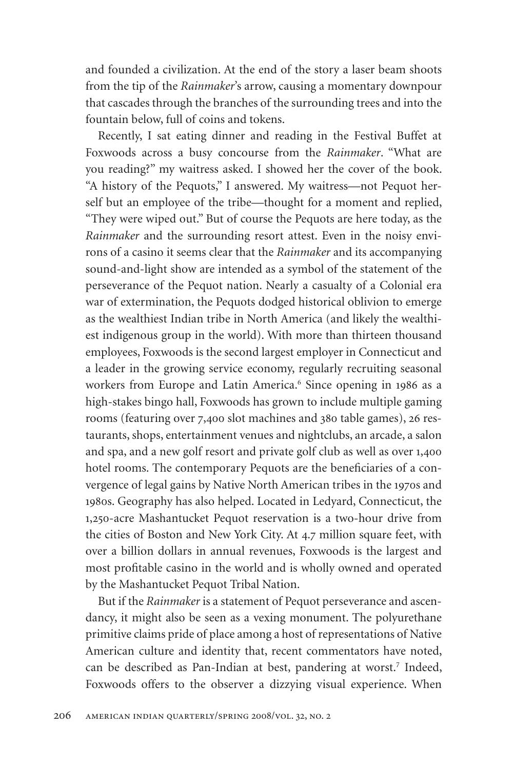and founded a civilization. At the end of the story a laser beam shoots from the tip of the *Rainmaker*'s arrow, causing a momentary downpour that cascades through the branches of the surrounding trees and into the fountain below, full of coins and tokens.

Recently, I sat eating dinner and reading in the Festival Buffet at Foxwoods across a busy concourse from the *Rainmaker*. "What are you reading?" my waitress asked. I showed her the cover of the book. "A history of the Pequots," I answered. My waitress—not Pequot herself but an employee of the tribe—thought for a moment and replied, "They were wiped out." But of course the Pequots are here today, as the *Rainmaker* and the surrounding resort attest. Even in the noisy environs of a casino it seems clear that the *Rainmaker* and its accompanying sound-and-light show are intended as a symbol of the statement of the perseverance of the Pequot nation. Nearly a casualty of a Colonial era war of extermination, the Pequots dodged historical oblivion to emerge as the wealthiest Indian tribe in North America (and likely the wealthiest indigenous group in the world). With more than thirteen thousand employees, Foxwoods is the second largest employer in Connecticut and a leader in the growing service economy, regularly recruiting seasonal workers from Europe and Latin America.<sup>6</sup> Since opening in 1986 as a high-stakes bingo hall, Foxwoods has grown to include multiple gaming rooms (featuring over 7,400 slot machines and 380 table games), 26 restaurants, shops, entertainment venues and nightclubs, an arcade, a salon and spa, and a new golf resort and private golf club as well as over 1,400 hotel rooms. The contemporary Pequots are the beneficiaries of a convergence of legal gains by Native North American tribes in the 1970s and 1980s. Geography has also helped. Located in Ledyard, Connecticut, the 1,250-acre Mashantucket Pequot reservation is a two-hour drive from the cities of Boston and New York City. At 4.7 million square feet, with over a billion dollars in annual revenues, Foxwoods is the largest and most profitable casino in the world and is wholly owned and operated by the Mashantucket Pequot Tribal Nation.

But if the *Rainmaker* is a statement of Pequot perseverance and ascendancy, it might also be seen as a vexing monument. The polyurethane primitive claims pride of place among a host of representations of Native American culture and identity that, recent commentators have noted, can be described as Pan-Indian at best, pandering at worst.<sup>7</sup> Indeed, Foxwoods offers to the observer a dizzying visual experience. When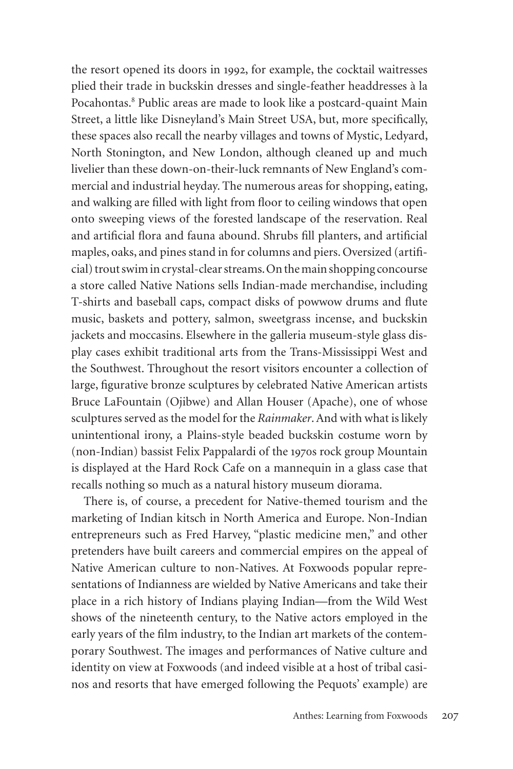the resort opened its doors in 1992, for example, the cocktail waitresses plied their trade in buckskin dresses and single-feather headdresses à la Pocahontas.8 Public areas are made to look like a postcard-quaint Main Street, a little like Disneyland's Main Street USA, but, more specifically, these spaces also recall the nearby villages and towns of Mystic, Ledyard, North Stonington, and New London, although cleaned up and much livelier than these down-on-their-luck remnants of New England's commercial and industrial heyday. The numerous areas for shopping, eating, and walking are filled with light from floor to ceiling windows that open onto sweeping views of the forested landscape of the reservation. Real and artificial flora and fauna abound. Shrubs fill planters, and artificial maples, oaks, and pines stand in for columns and piers. Oversized (artificial) trout swim in crystal-clear streams.On the main shopping concourse a store called Native Nations sells Indian-made merchandise, including T-shirts and baseball caps, compact disks of powwow drums and flute music, baskets and pottery, salmon, sweetgrass incense, and buckskin jackets and moccasins. Elsewhere in the galleria museum-style glass display cases exhibit traditional arts from the Trans-Mississippi West and the Southwest. Throughout the resort visitors encounter a collection of large, figurative bronze sculptures by celebrated Native American artists Bruce LaFountain (Ojibwe) and Allan Houser (Apache), one of whose sculptures served as the model for the *Rainmaker*.And with what is likely unintentional irony, a Plains-style beaded buckskin costume worn by (non-Indian) bassist Felix Pappalardi of the 1970s rock group Mountain is displayed at the Hard Rock Cafe on a mannequin in a glass case that recalls nothing so much as a natural history museum diorama.

There is, of course, a precedent for Native-themed tourism and the marketing of Indian kitsch in North America and Europe. Non-Indian entrepreneurs such as Fred Harvey, "plastic medicine men," and other pretenders have built careers and commercial empires on the appeal of Native American culture to non-Natives. At Foxwoods popular representations of Indianness are wielded by Native Americans and take their place in a rich history of Indians playing Indian—from the Wild West shows of the nineteenth century, to the Native actors employed in the early years of the film industry, to the Indian art markets of the contemporary Southwest. The images and performances of Native culture and identity on view at Foxwoods (and indeed visible at a host of tribal casinos and resorts that have emerged following the Pequots' example) are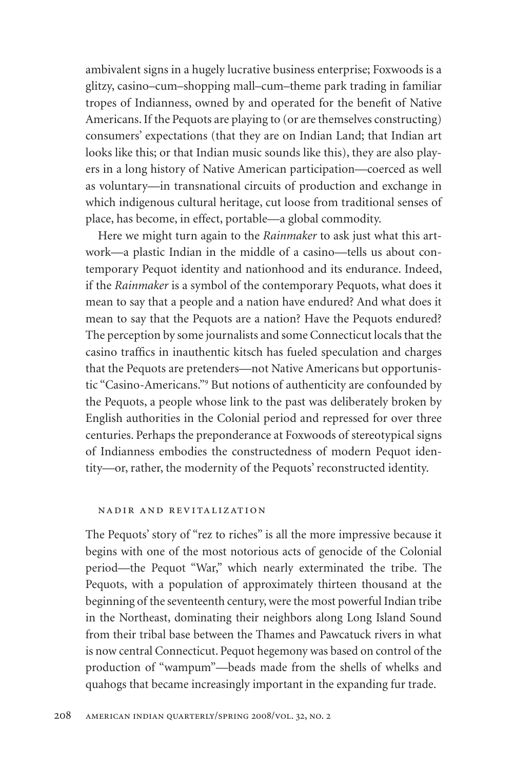ambivalent signs in a hugely lucrative business enterprise; Foxwoods is a glitzy, casino–cum–shopping mall–cum–theme park trading in familiar tropes of Indianness, owned by and operated for the benefit of Native Americans.If the Pequots are playing to (or are themselves constructing) consumers' expectations (that they are on Indian Land; that Indian art looks like this; or that Indian music sounds like this), they are also players in a long history of Native American participation—coerced as well as voluntary—in transnational circuits of production and exchange in which indigenous cultural heritage, cut loose from traditional senses of place, has become, in effect, portable—a global commodity.

Here we might turn again to the *Rainmaker* to ask just what this artwork—a plastic Indian in the middle of a casino—tells us about contemporary Pequot identity and nationhood and its endurance. Indeed, if the *Rainmaker* is a symbol of the contemporary Pequots, what does it mean to say that a people and a nation have endured? And what does it mean to say that the Pequots are a nation? Have the Pequots endured? The perception by some journalists and some Connecticut locals that the casino traffics in inauthentic kitsch has fueled speculation and charges that the Pequots are pretenders—not Native Americans but opportunistic "Casino-Americans."9 But notions of authenticity are confounded by the Pequots, a people whose link to the past was deliberately broken by English authorities in the Colonial period and repressed for over three centuries. Perhaps the preponderance at Foxwoods of stereotypical signs of Indianness embodies the constructedness of modern Pequot identity—or, rather, the modernity of the Pequots' reconstructed identity.

## nadir and revitalization

The Pequots' story of "rez to riches" is all the more impressive because it begins with one of the most notorious acts of genocide of the Colonial period—the Pequot "War," which nearly exterminated the tribe. The Pequots, with a population of approximately thirteen thousand at the beginning of the seventeenth century, were the most powerful Indian tribe in the Northeast, dominating their neighbors along Long Island Sound from their tribal base between the Thames and Pawcatuck rivers in what is now central Connecticut. Pequot hegemony was based on control of the production of "wampum"—beads made from the shells of whelks and quahogs that became increasingly important in the expanding fur trade.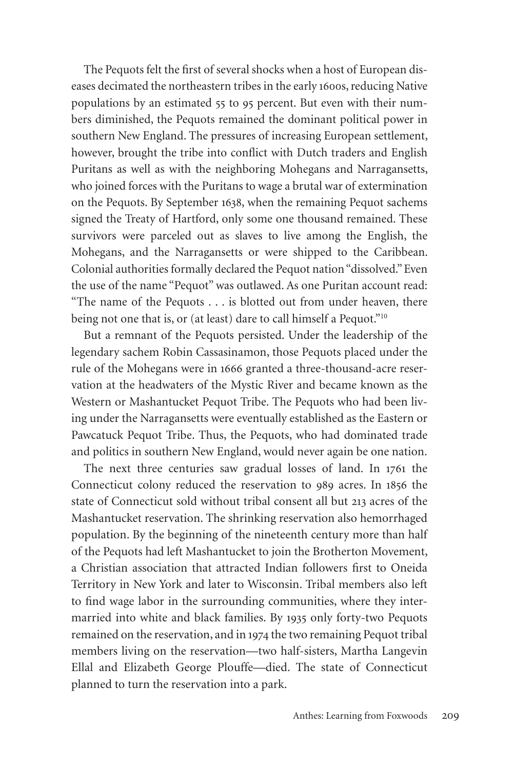The Pequots felt the first of several shocks when a host of European diseases decimated the northeastern tribes in the early 1600s, reducing Native populations by an estimated 55 to 95 percent. But even with their numbers diminished, the Pequots remained the dominant political power in southern New England. The pressures of increasing European settlement, however, brought the tribe into conflict with Dutch traders and English Puritans as well as with the neighboring Mohegans and Narragansetts, who joined forces with the Puritans to wage a brutal war of extermination on the Pequots. By September 1638, when the remaining Pequot sachems signed the Treaty of Hartford, only some one thousand remained. These survivors were parceled out as slaves to live among the English, the Mohegans, and the Narragansetts or were shipped to the Caribbean. Colonial authorities formally declared the Pequot nation "dissolved."Even the use of the name "Pequot" was outlawed. As one Puritan account read: "The name of the Pequots . . . is blotted out from under heaven, there being not one that is, or (at least) dare to call himself a Pequot."<sup>10</sup>

But a remnant of the Pequots persisted. Under the leadership of the legendary sachem Robin Cassasinamon, those Pequots placed under the rule of the Mohegans were in 1666 granted a three-thousand-acre reservation at the headwaters of the Mystic River and became known as the Western or Mashantucket Pequot Tribe. The Pequots who had been living under the Narragansetts were eventually established as the Eastern or Pawcatuck Pequot Tribe. Thus, the Pequots, who had dominated trade and politics in southern New England, would never again be one nation.

The next three centuries saw gradual losses of land. In 1761 the Connecticut colony reduced the reservation to 989 acres. In 1856 the state of Connecticut sold without tribal consent all but 213 acres of the Mashantucket reservation. The shrinking reservation also hemorrhaged population. By the beginning of the nineteenth century more than half of the Pequots had left Mashantucket to join the Brotherton Movement, a Christian association that attracted Indian followers first to Oneida Territory in New York and later to Wisconsin. Tribal members also left to find wage labor in the surrounding communities, where they intermarried into white and black families. By 1935 only forty-two Pequots remained on the reservation, and in 1974 the two remaining Pequot tribal members living on the reservation—two half-sisters, Martha Langevin Ellal and Elizabeth George Plouffe—died. The state of Connecticut planned to turn the reservation into a park.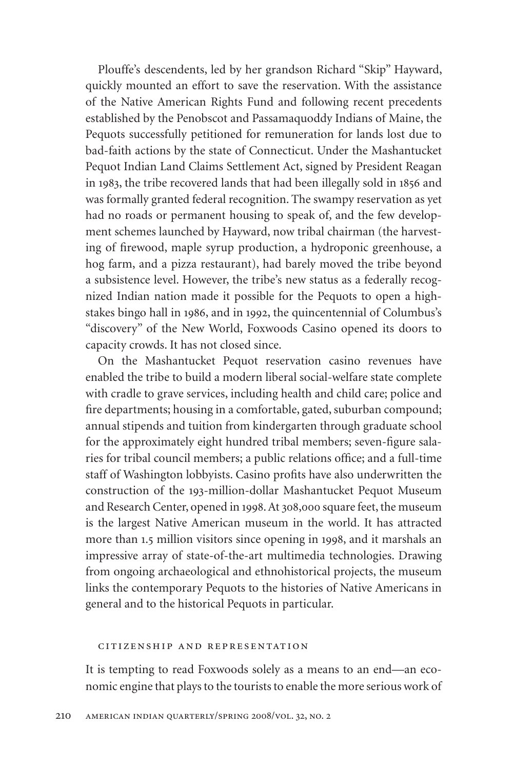Plouffe's descendents, led by her grandson Richard "Skip" Hayward, quickly mounted an effort to save the reservation. With the assistance of the Native American Rights Fund and following recent precedents established by the Penobscot and Passamaquoddy Indians of Maine, the Pequots successfully petitioned for remuneration for lands lost due to bad-faith actions by the state of Connecticut. Under the Mashantucket Pequot Indian Land Claims Settlement Act, signed by President Reagan in 1983, the tribe recovered lands that had been illegally sold in 1856 and was formally granted federal recognition. The swampy reservation as yet had no roads or permanent housing to speak of, and the few development schemes launched by Hayward, now tribal chairman (the harvesting of firewood, maple syrup production, a hydroponic greenhouse, a hog farm, and a pizza restaurant), had barely moved the tribe beyond a subsistence level. However, the tribe's new status as a federally recognized Indian nation made it possible for the Pequots to open a highstakes bingo hall in 1986, and in 1992, the quincentennial of Columbus's "discovery" of the New World, Foxwoods Casino opened its doors to capacity crowds. It has not closed since.

On the Mashantucket Pequot reservation casino revenues have enabled the tribe to build a modern liberal social-welfare state complete with cradle to grave services, including health and child care; police and fire departments; housing in a comfortable, gated, suburban compound; annual stipends and tuition from kindergarten through graduate school for the approximately eight hundred tribal members; seven-figure salaries for tribal council members; a public relations office; and a full-time staff of Washington lobbyists. Casino profits have also underwritten the construction of the 193-million-dollar Mashantucket Pequot Museum and Research Center, opened in 1998. At 308,000 square feet, the museum is the largest Native American museum in the world. It has attracted more than 1.5 million visitors since opening in 1998, and it marshals an impressive array of state-of-the-art multimedia technologies. Drawing from ongoing archaeological and ethnohistorical projects, the museum links the contemporary Pequots to the histories of Native Americans in general and to the historical Pequots in particular.

### citizenship and representation

It is tempting to read Foxwoods solely as a means to an end—an economic engine that plays to the tourists to enable the more serious work of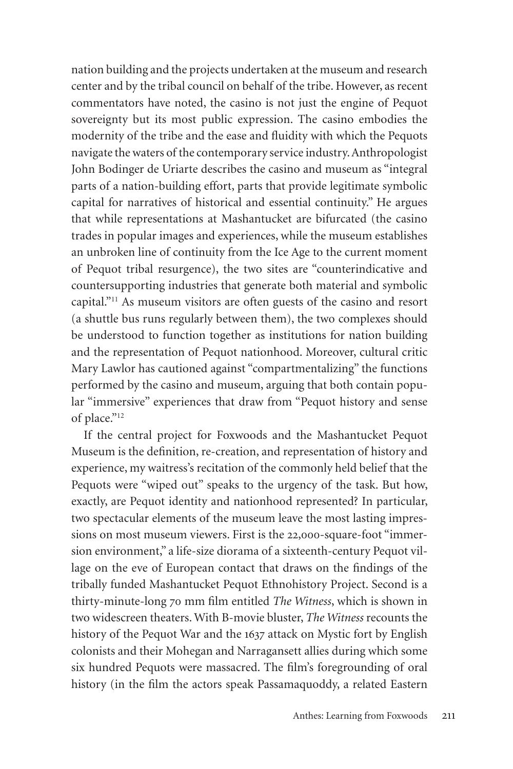nation building and the projects undertaken at the museum and research center and by the tribal council on behalf of the tribe. However, as recent commentators have noted, the casino is not just the engine of Pequot sovereignty but its most public expression. The casino embodies the modernity of the tribe and the ease and fluidity with which the Pequots navigate the waters of the contemporary service industry.Anthropologist John Bodinger de Uriarte describes the casino and museum as "integral parts of a nation-building effort, parts that provide legitimate symbolic capital for narratives of historical and essential continuity." He argues that while representations at Mashantucket are bifurcated (the casino trades in popular images and experiences, while the museum establishes an unbroken line of continuity from the Ice Age to the current moment of Pequot tribal resurgence), the two sites are "counterindicative and countersupporting industries that generate both material and symbolic capital."11 As museum visitors are often guests of the casino and resort (a shuttle bus runs regularly between them), the two complexes should be understood to function together as institutions for nation building and the representation of Pequot nationhood. Moreover, cultural critic Mary Lawlor has cautioned against "compartmentalizing" the functions performed by the casino and museum, arguing that both contain popular "immersive" experiences that draw from "Pequot history and sense of place."12

If the central project for Foxwoods and the Mashantucket Pequot Museum is the definition, re-creation, and representation of history and experience, my waitress's recitation of the commonly held belief that the Pequots were "wiped out" speaks to the urgency of the task. But how, exactly, are Pequot identity and nationhood represented? In particular, two spectacular elements of the museum leave the most lasting impressions on most museum viewers. First is the 22,000-square-foot "immersion environment," a life-size diorama of a sixteenth-century Pequot village on the eve of European contact that draws on the findings of the tribally funded Mashantucket Pequot Ethnohistory Project. Second is a thirty-minute-long 70 mm film entitled *The Witness*, which is shown in two widescreen theaters.With B-movie bluster, *The Witness* recounts the history of the Pequot War and the 1637 attack on Mystic fort by English colonists and their Mohegan and Narragansett allies during which some six hundred Pequots were massacred. The film's foregrounding of oral history (in the film the actors speak Passamaquoddy, a related Eastern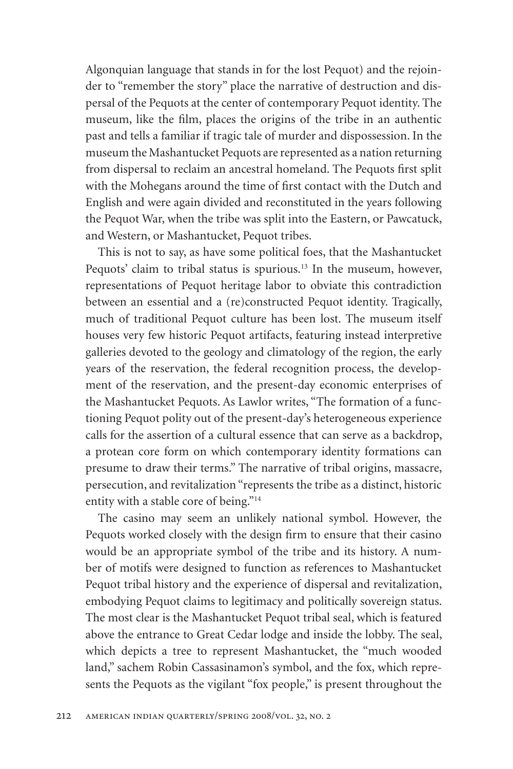Algonquian language that stands in for the lost Pequot) and the rejoinder to "remember the story" place the narrative of destruction and dispersal of the Pequots at the center of contemporary Pequot identity. The museum, like the film, places the origins of the tribe in an authentic past and tells a familiar if tragic tale of murder and dispossession. In the museum the Mashantucket Pequots are represented as a nation returning from dispersal to reclaim an ancestral homeland. The Pequots first split with the Mohegans around the time of first contact with the Dutch and English and were again divided and reconstituted in the years following the Pequot War, when the tribe was split into the Eastern, or Pawcatuck, and Western, or Mashantucket, Pequot tribes.

This is not to say, as have some political foes, that the Mashantucket Pequots' claim to tribal status is spurious.<sup>13</sup> In the museum, however, representations of Pequot heritage labor to obviate this contradiction between an essential and a (re)constructed Pequot identity. Tragically, much of traditional Pequot culture has been lost. The museum itself houses very few historic Pequot artifacts, featuring instead interpretive galleries devoted to the geology and climatology of the region, the early years of the reservation, the federal recognition process, the development of the reservation, and the present-day economic enterprises of the Mashantucket Pequots. As Lawlor writes, "The formation of a functioning Pequot polity out of the present-day's heterogeneous experience calls for the assertion of a cultural essence that can serve as a backdrop, a protean core form on which contemporary identity formations can presume to draw their terms." The narrative of tribal origins, massacre, persecution, and revitalization "represents the tribe as a distinct, historic entity with a stable core of being."<sup>14</sup>

The casino may seem an unlikely national symbol. However, the Pequots worked closely with the design firm to ensure that their casino would be an appropriate symbol of the tribe and its history. A number of motifs were designed to function as references to Mashantucket Pequot tribal history and the experience of dispersal and revitalization, embodying Pequot claims to legitimacy and politically sovereign status. The most clear is the Mashantucket Pequot tribal seal, which is featured above the entrance to Great Cedar lodge and inside the lobby. The seal, which depicts a tree to represent Mashantucket, the "much wooded land," sachem Robin Cassasinamon's symbol, and the fox, which represents the Pequots as the vigilant "fox people," is present throughout the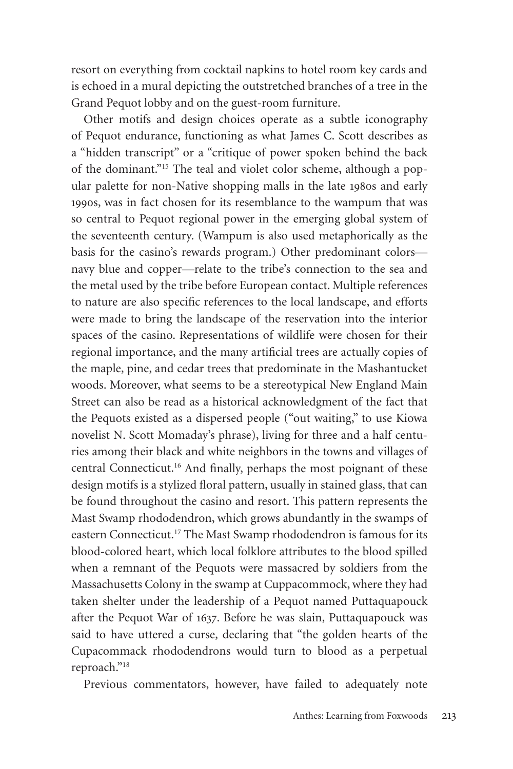resort on everything from cocktail napkins to hotel room key cards and is echoed in a mural depicting the outstretched branches of a tree in the Grand Pequot lobby and on the guest-room furniture.

Other motifs and design choices operate as a subtle iconography of Pequot endurance, functioning as what James C. Scott describes as a "hidden transcript" or a "critique of power spoken behind the back of the dominant."15 The teal and violet color scheme, although a popular palette for non-Native shopping malls in the late 1980s and early 1990s, was in fact chosen for its resemblance to the wampum that was so central to Pequot regional power in the emerging global system of the seventeenth century. (Wampum is also used metaphorically as the basis for the casino's rewards program.) Other predominant colors navy blue and copper—relate to the tribe's connection to the sea and the metal used by the tribe before European contact. Multiple references to nature are also specific references to the local landscape, and efforts were made to bring the landscape of the reservation into the interior spaces of the casino. Representations of wildlife were chosen for their regional importance, and the many artificial trees are actually copies of the maple, pine, and cedar trees that predominate in the Mashantucket woods. Moreover, what seems to be a stereotypical New England Main Street can also be read as a historical acknowledgment of the fact that the Pequots existed as a dispersed people ("out waiting," to use Kiowa novelist N. Scott Momaday's phrase), living for three and a half centuries among their black and white neighbors in the towns and villages of central Connecticut.16 And finally, perhaps the most poignant of these design motifs is a stylized floral pattern, usually in stained glass, that can be found throughout the casino and resort. This pattern represents the Mast Swamp rhododendron, which grows abundantly in the swamps of eastern Connecticut.17 The Mast Swamp rhododendron is famous for its blood-colored heart, which local folklore attributes to the blood spilled when a remnant of the Pequots were massacred by soldiers from the Massachusetts Colony in the swamp at Cuppacommock, where they had taken shelter under the leadership of a Pequot named Puttaquapouck after the Pequot War of 1637. Before he was slain, Puttaquapouck was said to have uttered a curse, declaring that "the golden hearts of the Cupacommack rhododendrons would turn to blood as a perpetual reproach."18

Previous commentators, however, have failed to adequately note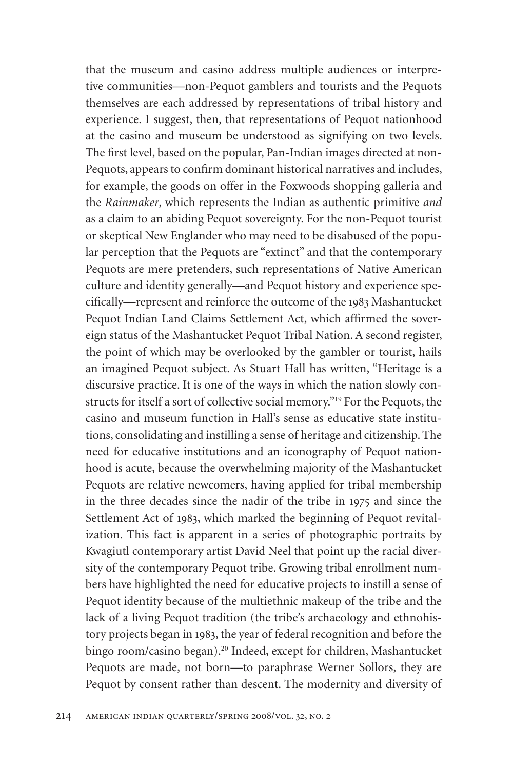that the museum and casino address multiple audiences or interpretive communities—non-Pequot gamblers and tourists and the Pequots themselves are each addressed by representations of tribal history and experience. I suggest, then, that representations of Pequot nationhood at the casino and museum be understood as signifying on two levels. The first level, based on the popular, Pan-Indian images directed at non-Pequots, appears to confirm dominant historical narratives and includes, for example, the goods on offer in the Foxwoods shopping galleria and the *Rainmaker*, which represents the Indian as authentic primitive *and* as a claim to an abiding Pequot sovereignty. For the non-Pequot tourist or skeptical New Englander who may need to be disabused of the popular perception that the Pequots are "extinct" and that the contemporary Pequots are mere pretenders, such representations of Native American culture and identity generally—and Pequot history and experience specifically—represent and reinforce the outcome of the 1983 Mashantucket Pequot Indian Land Claims Settlement Act, which affirmed the sovereign status of the Mashantucket Pequot Tribal Nation. A second register, the point of which may be overlooked by the gambler or tourist, hails an imagined Pequot subject. As Stuart Hall has written, "Heritage is a discursive practice. It is one of the ways in which the nation slowly constructs for itself a sort of collective social memory."19 For the Pequots, the casino and museum function in Hall's sense as educative state institutions, consolidating and instilling a sense of heritage and citizenship.The need for educative institutions and an iconography of Pequot nationhood is acute, because the overwhelming majority of the Mashantucket Pequots are relative newcomers, having applied for tribal membership in the three decades since the nadir of the tribe in 1975 and since the Settlement Act of 1983, which marked the beginning of Pequot revitalization. This fact is apparent in a series of photographic portraits by Kwagiutl contemporary artist David Neel that point up the racial diversity of the contemporary Pequot tribe. Growing tribal enrollment numbers have highlighted the need for educative projects to instill a sense of Pequot identity because of the multiethnic makeup of the tribe and the lack of a living Pequot tradition (the tribe's archaeology and ethnohistory projects began in 1983, the year of federal recognition and before the bingo room/casino began).<sup>20</sup> Indeed, except for children, Mashantucket Pequots are made, not born—to paraphrase Werner Sollors, they are Pequot by consent rather than descent. The modernity and diversity of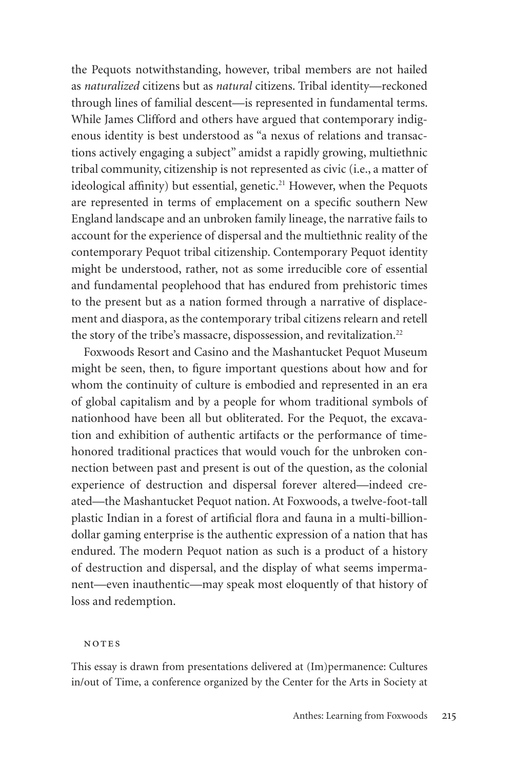the Pequots notwithstanding, however, tribal members are not hailed as *naturalized* citizens but as *natural* citizens. Tribal identity—reckoned through lines of familial descent—is represented in fundamental terms. While James Clifford and others have argued that contemporary indigenous identity is best understood as "a nexus of relations and transactions actively engaging a subject" amidst a rapidly growing, multiethnic tribal community, citizenship is not represented as civic (i.e., a matter of ideological affinity) but essential, genetic.<sup>21</sup> However, when the Pequots are represented in terms of emplacement on a specific southern New England landscape and an unbroken family lineage, the narrative fails to account for the experience of dispersal and the multiethnic reality of the contemporary Pequot tribal citizenship. Contemporary Pequot identity might be understood, rather, not as some irreducible core of essential and fundamental peoplehood that has endured from prehistoric times to the present but as a nation formed through a narrative of displacement and diaspora, as the contemporary tribal citizens relearn and retell the story of the tribe's massacre, dispossession, and revitalization.<sup>22</sup>

Foxwoods Resort and Casino and the Mashantucket Pequot Museum might be seen, then, to figure important questions about how and for whom the continuity of culture is embodied and represented in an era of global capitalism and by a people for whom traditional symbols of nationhood have been all but obliterated. For the Pequot, the excavation and exhibition of authentic artifacts or the performance of timehonored traditional practices that would vouch for the unbroken connection between past and present is out of the question, as the colonial experience of destruction and dispersal forever altered—indeed created—the Mashantucket Pequot nation. At Foxwoods, a twelve-foot-tall plastic Indian in a forest of artificial flora and fauna in a multi-billiondollar gaming enterprise is the authentic expression of a nation that has endured. The modern Pequot nation as such is a product of a history of destruction and dispersal, and the display of what seems impermanent—even inauthentic—may speak most eloquently of that history of loss and redemption.

### notes

This essay is drawn from presentations delivered at (Im)permanence: Cultures in/out of Time, a conference organized by the Center for the Arts in Society at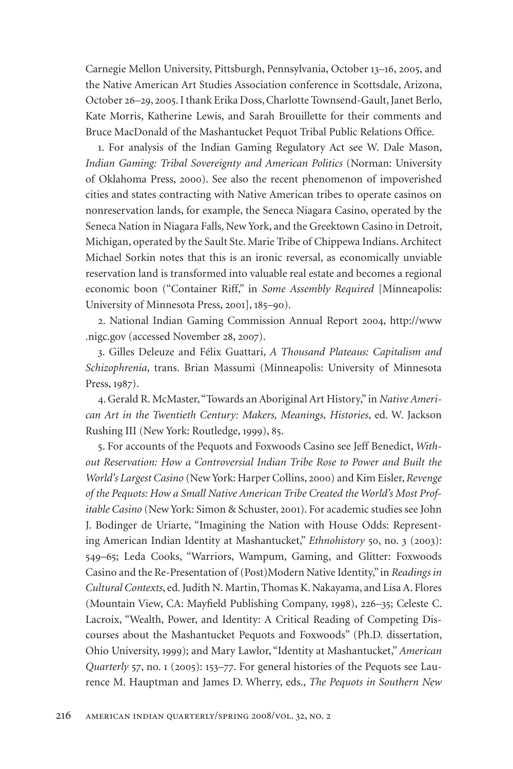Carnegie Mellon University, Pittsburgh, Pennsylvania, October 13–16, 2005, and the Native American Art Studies Association conference in Scottsdale, Arizona, October 26–29, 2005.I thank Erika Doss,Charlotte Townsend-Gault,Janet Berlo, Kate Morris, Katherine Lewis, and Sarah Brouillette for their comments and Bruce MacDonald of the Mashantucket Pequot Tribal Public Relations Office.

1. For analysis of the Indian Gaming Regulatory Act see W. Dale Mason, *Indian Gaming: Tribal Sovereignty and American Politics* (Norman: University of Oklahoma Press, 2000). See also the recent phenomenon of impoverished cities and states contracting with Native American tribes to operate casinos on nonreservation lands, for example, the Seneca Niagara Casino, operated by the Seneca Nation in Niagara Falls, New York, and the Greektown Casino in Detroit, Michigan, operated by the Sault Ste. Marie Tribe of Chippewa Indians.Architect Michael Sorkin notes that this is an ironic reversal, as economically unviable reservation land is transformed into valuable real estate and becomes a regional economic boon ("Container Riff," in *Some Assembly Required* [Minneapolis: University of Minnesota Press, 2001], 185–90).

2. National Indian Gaming Commission Annual Report 2004, http://www .nigc.gov (accessed November 28, 2007).

3. Gilles Deleuze and Félix Guattari, *A Thousand Plateaus: Capitalism and Schizophrenia*, trans. Brian Massumi (Minneapolis: University of Minnesota Press, 1987).

4. Gerald R. McMaster,"Towards an Aboriginal Art History," in *Native American Art in the Twentieth Century: Makers, Meanings, Histories*, ed. W. Jackson Rushing III (New York: Routledge, 1999), 85.

5. For accounts of the Pequots and Foxwoods Casino see Jeff Benedict, *Without Reservation: How a Controversial Indian Tribe Rose to Power and Built the World's Largest Casino* (New York: Harper Collins, 2000) and Kim Eisler, *Revenge of the Pequots: How a Small Native American Tribe Created the World's Most Profitable Casino* (New York: Simon & Schuster, 2001). For academic studies see John J. Bodinger de Uriarte, "Imagining the Nation with House Odds: Representing American Indian Identity at Mashantucket," *Ethnohistory* 50, no. 3 (2003): 549–65; Leda Cooks, "Warriors, Wampum, Gaming, and Glitter: Foxwoods Casino and the Re-Presentation of (Post)Modern Native Identity," in *Readings in Cultural Contexts*, ed.Judith N. Martin, Thomas K. Nakayama, and Lisa A. Flores (Mountain View, CA: Mayfield Publishing Company, 1998), 226–35; Celeste C. Lacroix, "Wealth, Power, and Identity: A Critical Reading of Competing Discourses about the Mashantucket Pequots and Foxwoods" (Ph.D. dissertation, Ohio University, 1999); and Mary Lawlor, "Identity at Mashantucket," *American Quarterly* 57, no. 1 (2005): 153–77. For general histories of the Pequots see Laurence M. Hauptman and James D. Wherry, eds., *The Pequots in Southern New*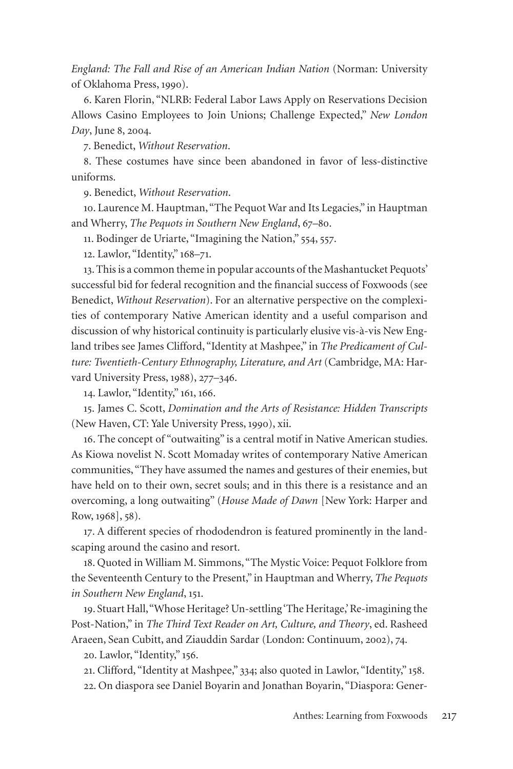*England: The Fall and Rise of an American Indian Nation* (Norman: University of Oklahoma Press, 1990).

6. Karen Florin, "NLRB: Federal Labor Laws Apply on Reservations Decision Allows Casino Employees to Join Unions; Challenge Expected," *New London Day*, June 8, 2004.

7. Benedict, *Without Reservation*.

8. These costumes have since been abandoned in favor of less-distinctive uniforms.

9. Benedict, *Without Reservation*.

10. Laurence M. Hauptman, "The Pequot War and Its Legacies," in Hauptman and Wherry, *The Pequots in Southern New England*, 67–80.

11. Bodinger de Uriarte, "Imagining the Nation," 554, 557.

12. Lawlor, "Identity," 168–71.

13.This is a common theme in popular accounts of the Mashantucket Pequots' successful bid for federal recognition and the financial success of Foxwoods (see Benedict, *Without Reservation*). For an alternative perspective on the complexities of contemporary Native American identity and a useful comparison and discussion of why historical continuity is particularly elusive vis-à-vis New England tribes see James Clifford, "Identity at Mashpee," in *The Predicament of Culture: Twentieth-Century Ethnography, Literature, and Art* (Cambridge, MA: Harvard University Press, 1988), 277–346.

14. Lawlor, "Identity," 161, 166.

15. James C. Scott, *Domination and the Arts of Resistance: Hidden Transcripts* (New Haven, CT: Yale University Press, 1990), xii.

16. The concept of "outwaiting" is a central motif in Native American studies. As Kiowa novelist N. Scott Momaday writes of contemporary Native American communities, "They have assumed the names and gestures of their enemies, but have held on to their own, secret souls; and in this there is a resistance and an overcoming, a long outwaiting" (*House Made of Dawn* [New York: Harper and Row, 1968], 58).

17. A different species of rhododendron is featured prominently in the landscaping around the casino and resort.

18. Quoted in William M. Simmons, "The Mystic Voice: Pequot Folklore from the Seventeenth Century to the Present," in Hauptman and Wherry, *The Pequots in Southern New England*, 151.

19. Stuart Hall,"Whose Heritage? Un-settling 'The Heritage,'Re-imagining the Post-Nation," in *The Third Text Reader on Art, Culture, and Theory*, ed. Rasheed Araeen, Sean Cubitt, and Ziauddin Sardar (London: Continuum, 2002), 74.

20. Lawlor, "Identity," 156.

21. Clifford, "Identity at Mashpee," 334; also quoted in Lawlor, "Identity," 158.

22. On diaspora see Daniel Boyarin and Jonathan Boyarin, "Diaspora: Gener-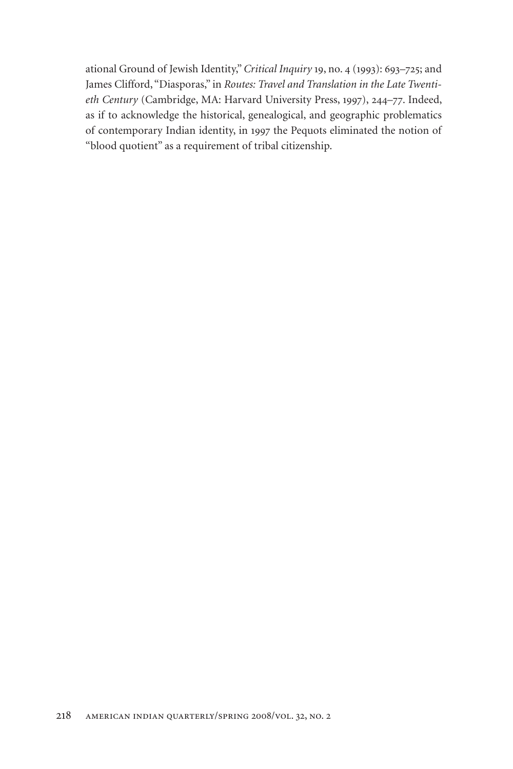ational Ground of Jewish Identity,"*Critical Inquiry* 19, no. 4 (1993): 693–725; and James Clifford, "Diasporas," in *Routes: Travel and Translation in the Late Twentieth Century* (Cambridge, MA: Harvard University Press, 1997), 244–77. Indeed, as if to acknowledge the historical, genealogical, and geographic problematics of contemporary Indian identity, in 1997 the Pequots eliminated the notion of "blood quotient" as a requirement of tribal citizenship.